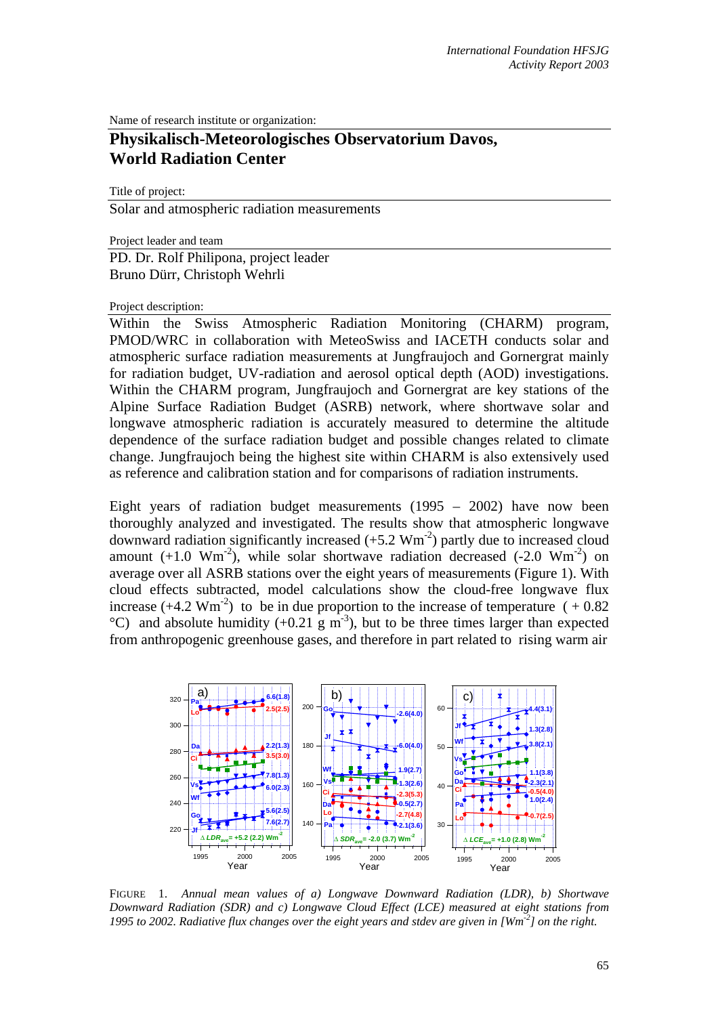Name of research institute or organization:

## **Physikalisch-Meteorologisches Observatorium Davos, World Radiation Center**

Title of project:

Solar and atmospheric radiation measurements

Project leader and team PD. Dr. Rolf Philipona, project leader

Bruno Dürr, Christoph Wehrli

## Project description:

Within the Swiss Atmospheric Radiation Monitoring (CHARM) program, PMOD/WRC in collaboration with MeteoSwiss and IACETH conducts solar and atmospheric surface radiation measurements at Jungfraujoch and Gornergrat mainly for radiation budget, UV-radiation and aerosol optical depth (AOD) investigations. Within the CHARM program, Jungfraujoch and Gornergrat are key stations of the Alpine Surface Radiation Budget (ASRB) network, where shortwave solar and longwave atmospheric radiation is accurately measured to determine the altitude dependence of the surface radiation budget and possible changes related to climate change. Jungfraujoch being the highest site within CHARM is also extensively used as reference and calibration station and for comparisons of radiation instruments.

Eight years of radiation budget measurements (1995 – 2002) have now been thoroughly analyzed and investigated. The results show that atmospheric longwave downward radiation significantly increased  $(+5.2 \text{ Wm}^2)$  partly due to increased cloud amount  $(+1.0 \text{ Wm}^2)$ , while solar shortwave radiation decreased  $(-2.0 \text{ Wm}^2)$  on average over all ASRB stations over the eight years of measurements (Figure 1). With cloud effects subtracted, model calculations show the cloud-free longwave flux increase  $(+4.2 \text{ Wm}^2)$  to be in due proportion to the increase of temperature  $(+0.82$  $^{\circ}$ C) and absolute humidity (+0.21 g m<sup>-3</sup>), but to be three times larger than expected from anthropogenic greenhouse gases, and therefore in part related to rising warm air



FIGURE 1. *Annual mean values of a) Longwave Downward Radiation (LDR), b) Shortwave Downward Radiation (SDR) and c) Longwave Cloud Effect (LCE) measured at eight stations from 1995 to 2002. Radiative flux changes over the eight years and stdev are given in [Wm<sup>-2</sup>] on the right.*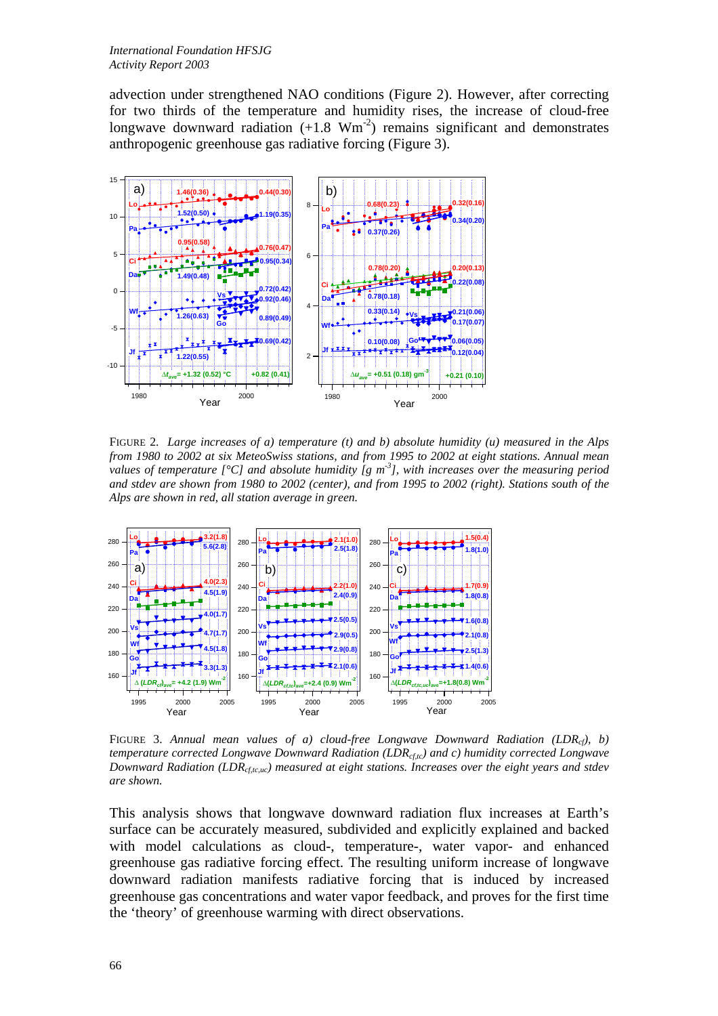advection under strengthened NAO conditions (Figure 2). However, after correcting for two thirds of the temperature and humidity rises, the increase of cloud-free longwave downward radiation  $(+1.8 \text{ Wm}^2)$  remains significant and demonstrates anthropogenic greenhouse gas radiative forcing (Figure 3).



FIGURE 2. *Large increases of a) temperature (t) and b) absolute humidity (u) measured in the Alps from 1980 to 2002 at six MeteoSwiss stations, and from 1995 to 2002 at eight stations. Annual mean values of temperature [°C] and absolute humidity [g m-3], with increases over the measuring period and stdev are shown from 1980 to 2002 (center), and from 1995 to 2002 (right). Stations south of the Alps are shown in red, all station average in green.*



FIGURE 3. *Annual mean values of a) cloud-free Longwave Downward Radiation (LDRcf), b) temperature corrected Longwave Downward Radiation (LDR<sub>cf,tc</sub>) and c) humidity corrected Longwave Downward Radiation (LDR<sub>cf,tc,uc</sub>) measured at eight stations. Increases over the eight years and stdev are shown.*

This analysis shows that longwave downward radiation flux increases at Earth's surface can be accurately measured, subdivided and explicitly explained and backed with model calculations as cloud-, temperature-, water vapor- and enhanced greenhouse gas radiative forcing effect. The resulting uniform increase of longwave downward radiation manifests radiative forcing that is induced by increased greenhouse gas concentrations and water vapor feedback, and proves for the first time the 'theory' of greenhouse warming with direct observations.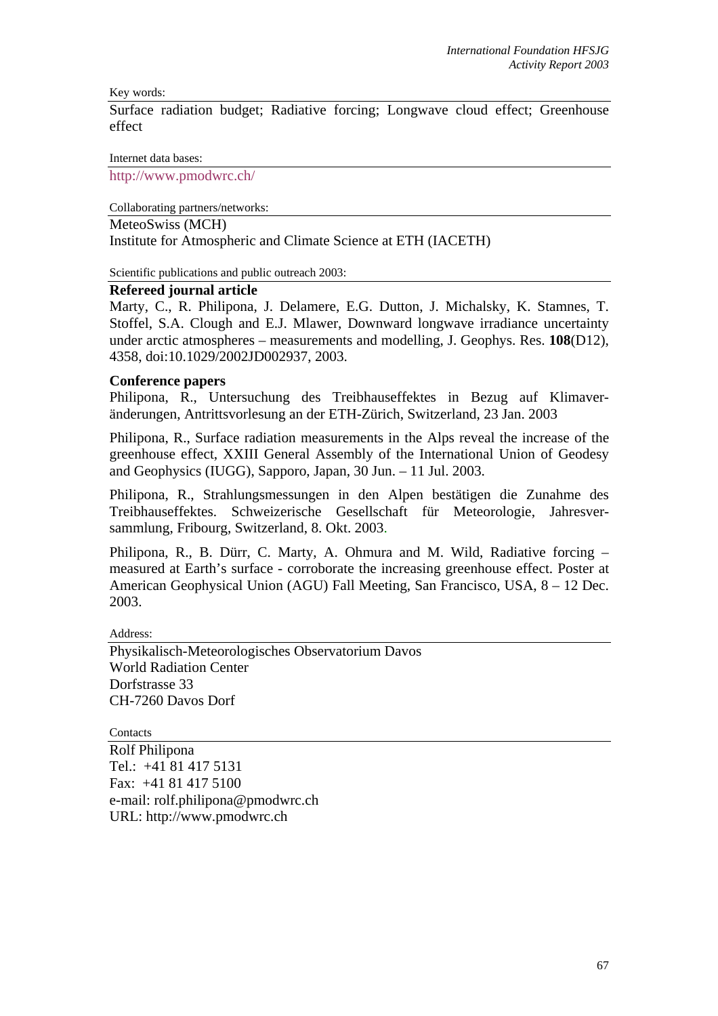Key words:

Surface radiation budget; Radiative forcing; Longwave cloud effect; Greenhouse effect

Internet data bases:

http://www.pmodwrc.ch/

Collaborating partners/networks:

MeteoSwiss (MCH)

Institute for Atmospheric and Climate Science at ETH (IACETH)

Scientific publications and public outreach 2003:

## **Refereed journal article**

Marty, C., R. Philipona, J. Delamere, E.G. Dutton, J. Michalsky, K. Stamnes, T. Stoffel, S.A. Clough and E.J. Mlawer, Downward longwave irradiance uncertainty under arctic atmospheres – measurements and modelling, J. Geophys. Res. **108**(D12), 4358, doi:10.1029/2002JD002937, 2003.

## **Conference papers**

Philipona, R., Untersuchung des Treibhauseffektes in Bezug auf Klimaveränderungen, Antrittsvorlesung an der ETH-Zürich, Switzerland, 23 Jan. 2003

Philipona, R., Surface radiation measurements in the Alps reveal the increase of the greenhouse effect, XXIII General Assembly of the International Union of Geodesy and Geophysics (IUGG), Sapporo, Japan, 30 Jun. – 11 Jul. 2003.

Philipona, R., Strahlungsmessungen in den Alpen bestätigen die Zunahme des Treibhauseffektes. Schweizerische Gesellschaft für Meteorologie, Jahresversammlung, Fribourg, Switzerland, 8. Okt. 2003.

Philipona, R., B. Dürr, C. Marty, A. Ohmura and M. Wild, Radiative forcing – measured at Earth's surface - corroborate the increasing greenhouse effect. Poster at American Geophysical Union (AGU) Fall Meeting, San Francisco, USA, 8 – 12 Dec. 2003.

Address:

Physikalisch-Meteorologisches Observatorium Davos World Radiation Center Dorfstrasse 33 CH-7260 Davos Dorf

**Contacts** 

Rolf Philipona Tel.: +41 81 417 5131 Fax: +41 81 417 5100 e-mail: rolf.philipona@pmodwrc.ch URL: http://www.pmodwrc.ch